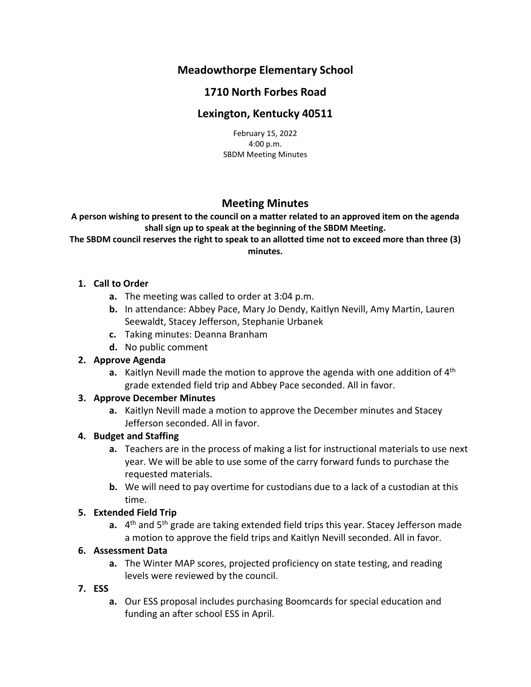# **Meadowthorpe Elementary School**

# **1710 North Forbes Road**

# **Lexington, Kentucky 40511**

February 15, 2022 4:00 p.m. SBDM Meeting Minutes

# **Meeting Minutes**

**A person wishing to present to the council on a matter related to an approved item on the agenda shall sign up to speak at the beginning of the SBDM Meeting.**

**The SBDM council reserves the right to speak to an allotted time not to exceed more than three (3) minutes.**

## **1. Call to Order**

- **a.** The meeting was called to order at 3:04 p.m.
- **b.** In attendance: Abbey Pace, Mary Jo Dendy, Kaitlyn Nevill, Amy Martin, Lauren Seewaldt, Stacey Jefferson, Stephanie Urbanek
- **c.** Taking minutes: Deanna Branham
- **d.** No public comment

### **2. Approve Agenda**

**a.** Kaitlyn Nevill made the motion to approve the agenda with one addition of 4<sup>th</sup> grade extended field trip and Abbey Pace seconded. All in favor.

### **3. Approve December Minutes**

**a.** Kaitlyn Nevill made a motion to approve the December minutes and Stacey Jefferson seconded. All in favor.

### **4. Budget and Staffing**

- **a.** Teachers are in the process of making a list for instructional materials to use next year. We will be able to use some of the carry forward funds to purchase the requested materials.
- **b.** We will need to pay overtime for custodians due to a lack of a custodian at this time.

## **5. Extended Field Trip**

a. 4<sup>th</sup> and 5<sup>th</sup> grade are taking extended field trips this year. Stacey Jefferson made a motion to approve the field trips and Kaitlyn Nevill seconded. All in favor.

## **6. Assessment Data**

**a.** The Winter MAP scores, projected proficiency on state testing, and reading levels were reviewed by the council.

### **7. ESS**

**a.** Our ESS proposal includes purchasing Boomcards for special education and funding an after school ESS in April.